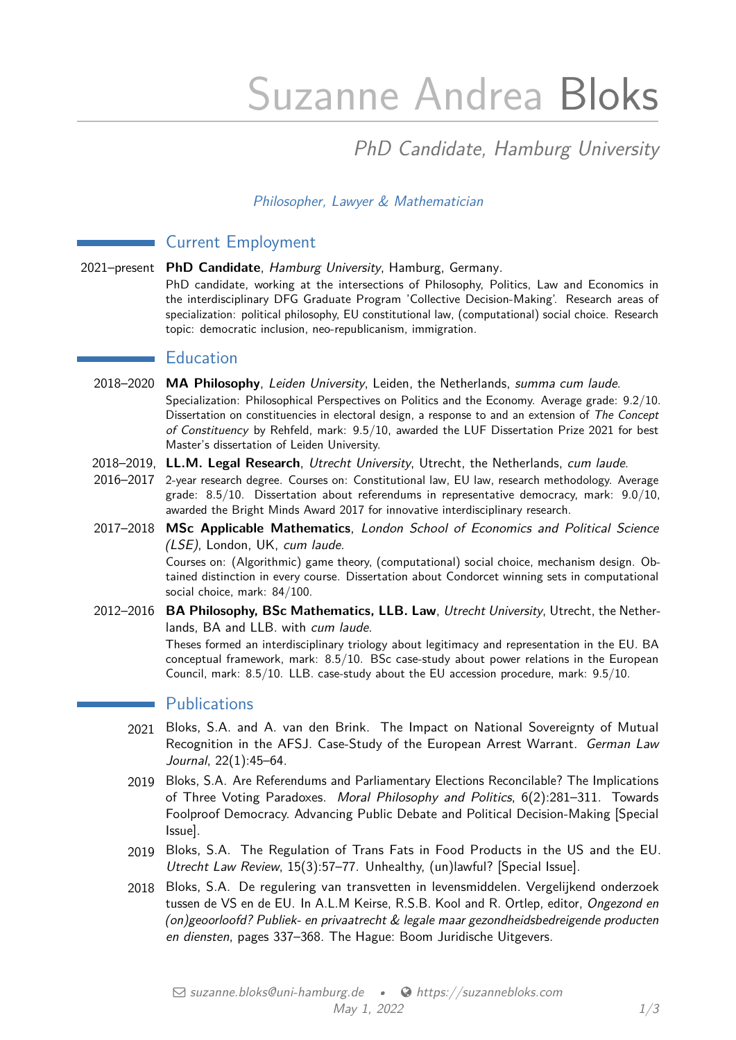# Suzanne Andrea Bloks

# PhD Candidate, Hamburg University

## Philosopher, Lawyer & Mathematician

# Current Employment

2021–present **PhD Candidate**, Hamburg University, Hamburg, Germany.

PhD candidate, working at the intersections of Philosophy, Politics, Law and Economics in the interdisciplinary DFG Graduate Program 'Collective Decision-Making'. Research areas of specialization: political philosophy, EU constitutional law, (computational) social choice. Research topic: democratic inclusion, neo-republicanism, immigration.

# **Education**

- 2018–2020 **MA Philosophy**, Leiden University, Leiden, the Netherlands, summa cum laude. Specialization: Philosophical Perspectives on Politics and the Economy. Average grade: 9.2/10. Dissertation on constituencies in electoral design, a response to and an extension of The Concept of Constituency by Rehfeld, mark: 9.5/10, awarded the LUF Dissertation Prize 2021 for best Master's dissertation of Leiden University.
- 2018–2019, **LL.M. Legal Research**, Utrecht University, Utrecht, the Netherlands, cum laude.
- 2016–2017 2-year research degree. Courses on: Constitutional law, EU law, research methodology. Average grade:  $8.5/10$ . Dissertation about referendums in representative democracy, mark:  $9.0/10$ . awarded the Bright Minds Award 2017 for innovative interdisciplinary research.
- 2017–2018 **MSc Applicable Mathematics**, London School of Economics and Political Science (LSE), London, UK, cum laude. Courses on: (Algorithmic) game theory, (computational) social choice, mechanism design. Obtained distinction in every course. Dissertation about Condorcet winning sets in computational social choice, mark: 84/100.
- 2012–2016 **BA Philosophy, BSc Mathematics, LLB. Law**, Utrecht University, Utrecht, the Netherlands, BA and LLB. with cum laude. Theses formed an interdisciplinary triology about legitimacy and representation in the EU. BA conceptual framework, mark: 8.5/10. BSc case-study about power relations in the European Council, mark: 8.5/10. LLB. case-study about the EU accession procedure, mark: 9.5/10.

### **Publications**

- 2021 Bloks, S.A. and A. van den Brink. The Impact on National Sovereignty of Mutual Recognition in the AFSJ. Case-Study of the European Arrest Warrant. German Law Journal, 22(1):45–64.
- 2019 Bloks, S.A. Are Referendums and Parliamentary Elections Reconcilable? The Implications of Three Voting Paradoxes. Moral Philosophy and Politics, 6(2):281–311. Towards Foolproof Democracy. Advancing Public Debate and Political Decision-Making [Special Issue].
- 2019 Bloks, S.A. The Regulation of Trans Fats in Food Products in the US and the EU. Utrecht Law Review, 15(3):57–77. Unhealthy, (un)lawful? [Special Issue].
- 2018 Bloks, S.A. De regulering van transvetten in levensmiddelen. Vergelijkend onderzoek tussen de VS en de EU. In A.L.M Keirse, R.S.B. Kool and R. Ortlep, editor, Ongezond en (on)geoorloofd? Publiek- en privaatrecht & legale maar gezondheidsbedreigende producten en diensten, pages 337–368. The Hague: Boom Juridische Uitgevers.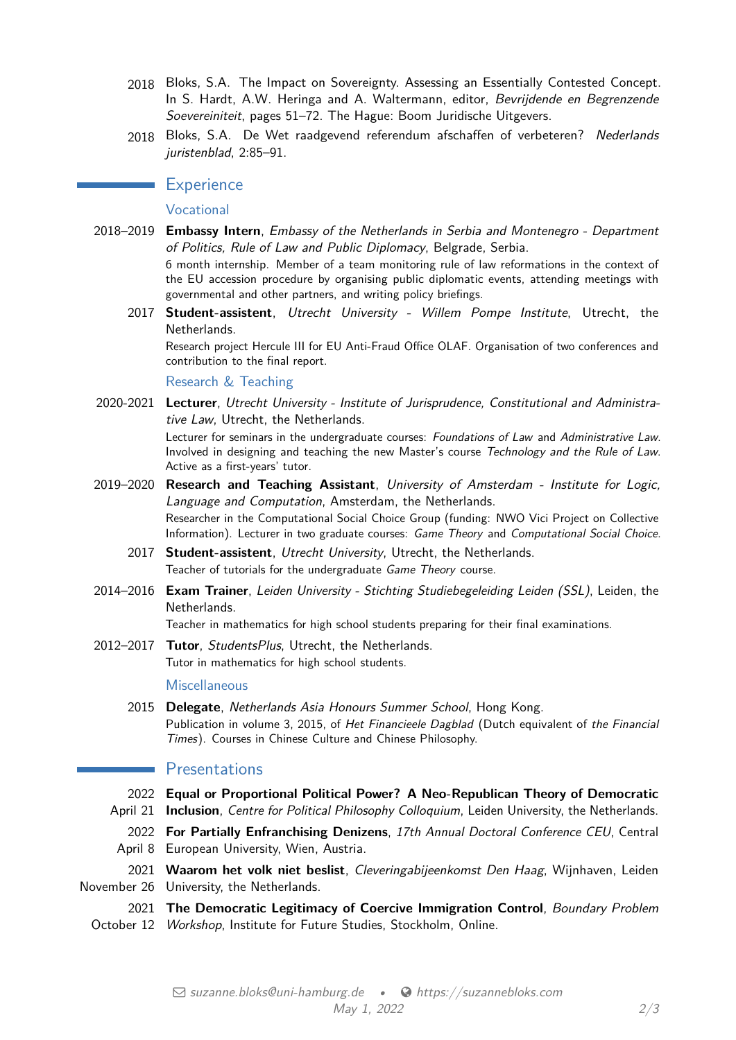- 2018 Bloks, S.A. The Impact on Sovereignty. Assessing an Essentially Contested Concept. In S. Hardt, A.W. Heringa and A. Waltermann, editor, Bevrijdende en Begrenzende Soevereiniteit, pages 51–72. The Hague: Boom Juridische Uitgevers.
- 2018 Bloks, S.A. De Wet raadgevend referendum afschaffen of verbeteren? Nederlands juristenblad, 2:85-91.

#### **Experience**

#### Vocational

2018–2019 **Embassy Intern**, Embassy of the Netherlands in Serbia and Montenegro - Department of Politics, Rule of Law and Public Diplomacy, Belgrade, Serbia. 6 month internship. Member of a team monitoring rule of law reformations in the context of

the EU accession procedure by organising public diplomatic events, attending meetings with governmental and other partners, and writing policy briefings.

2017 **Student-assistent**, Utrecht University - Willem Pompe Institute, Utrecht, the Netherlands.

Research project Hercule III for EU Anti-Fraud Office OLAF. Organisation of two conferences and contribution to the final report.

Research & Teaching

2020-2021 **Lecturer**, Utrecht University - Institute of Jurisprudence, Constitutional and Administrative Law, Utrecht, the Netherlands.

> Lecturer for seminars in the undergraduate courses: Foundations of Law and Administrative Law. Involved in designing and teaching the new Master's course Technology and the Rule of Law. Active as a first-years' tutor.

- 2019–2020 **Research and Teaching Assistant**, University of Amsterdam Institute for Logic, Language and Computation, Amsterdam, the Netherlands. Researcher in the Computational Social Choice Group (funding: NWO Vici Project on Collective Information). Lecturer in two graduate courses: Game Theory and Computational Social Choice.
	- 2017 **Student-assistent**, Utrecht University, Utrecht, the Netherlands. Teacher of tutorials for the undergraduate Game Theory course.
- 2014–2016 **Exam Trainer**, Leiden University Stichting Studiebegeleiding Leiden (SSL), Leiden, the Netherlands.

Teacher in mathematics for high school students preparing for their final examinations.

2012–2017 **Tutor**, StudentsPlus, Utrecht, the Netherlands. Tutor in mathematics for high school students.

#### **Miscellaneous**

2015 **Delegate**, Netherlands Asia Honours Summer School, Hong Kong. Publication in volume 3, 2015, of Het Financieele Dagblad (Dutch equivalent of the Financial Times). Courses in Chinese Culture and Chinese Philosophy.

#### **Exercise** Presentations

- 2022 **Equal or Proportional Political Power? A Neo-Republican Theory of Democratic**
- April 21 **Inclusion**, Centre for Political Philosophy Colloquium, Leiden University, the Netherlands.
- 2022 **For Partially Enfranchising Denizens**, 17th Annual Doctoral Conference CEU, Central April 8 European University, Wien, Austria.
- 2021 **Waarom het volk niet beslist**, Cleveringabijeenkomst Den Haag, Wijnhaven, Leiden November 26 University, the Netherlands.
- 2021 **The Democratic Legitimacy of Coercive Immigration Control**, Boundary Problem October 12 Workshop, Institute for Future Studies, Stockholm, Online.